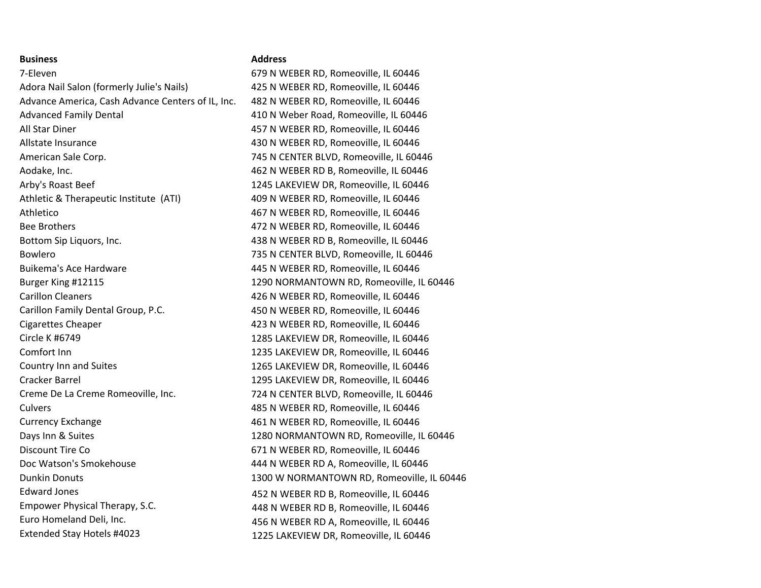#### **Business**

7-Eleven Adora Nail Salon (formerly Julie's Nails) Advance America, Cash Advance Centers of IL, Inc. Advanced Family Dental All Star Diner Allstate Insurance American Sale Corp. Aodake, Inc. Arby's Roast Beef Athletic & Therapeutic Institute (ATI) Athletico Bee Brothers Bottom Sip Liquors, Inc. Bowlero Buikema's Ace Hardware Burger King #12115 Carillon Cleaners Carillon Family Dental Group, P.C. Cigarettes Cheaper Circle K #6749 Comfort Inn Country Inn and Suites Cracker Barrel Creme De La Creme Romeoville, Inc. **Culvers** Currency Exchange Days Inn & Suites Discount Tire Co Doc Watson's Smokehouse Dunkin Donuts Edward Jones Empower Physical Therapy, S.C. Euro Homeland Deli, Inc.

## **Address**

679 N WEBER RD, Romeoville, IL 60446 425 N WEBER RD, Romeoville, IL 60446 482 N WEBER RD, Romeoville, IL 60446 410 N Weber Road, Romeoville, IL 60446 457 N WEBER RD, Romeoville, IL 60446 430 N WEBER RD, Romeoville, IL 60446 745 N CENTER BLVD, Romeoville, IL 60446 462 N WEBER RD B, Romeoville, IL 60446 1245 LAKEVIEW DR, Romeoville, IL 60446 409 N WEBER RD, Romeoville, IL 60446 467 N WEBER RD, Romeoville, IL 60446 472 N WEBER RD, Romeoville, IL 60446 438 N WEBER RD B, Romeoville, IL 60446 735 N CENTER BLVD, Romeoville, IL 60446 445 N WEBER RD, Romeoville, IL 60446 1290 NORMANTOWN RD, Romeoville, IL 60446 426 N WEBER RD, Romeoville, IL 60446 450 N WEBER RD, Romeoville, IL 60446 423 N WEBER RD, Romeoville, IL 60446 1285 LAKEVIEW DR, Romeoville, IL 60446 1235 LAKEVIEW DR, Romeoville, IL 60446 1265 LAKEVIEW DR, Romeoville, IL 60446 1295 LAKEVIEW DR, Romeoville, IL 60446 724 N CENTER BLVD, Romeoville, IL 60446 485 N WEBER RD, Romeoville, IL 60446 461 N WEBER RD, Romeoville, IL 60446 1280 NORMANTOWN RD, Romeoville, IL 60446 671 N WEBER RD, Romeoville, IL 60446 444 N WEBER RD A, Romeoville, IL 60446 1300 W NORMANTOWN RD, Romeoville, IL 60446 452 N WEBER RD B, Romeoville, IL 60446 448 N WEBER RD B, Romeoville, IL 60446 456 N WEBER RD A, Romeoville, IL 60446 Extended Stay Hotels #4023 1225 LAKEVIEW DR, Romeoville, IL 60446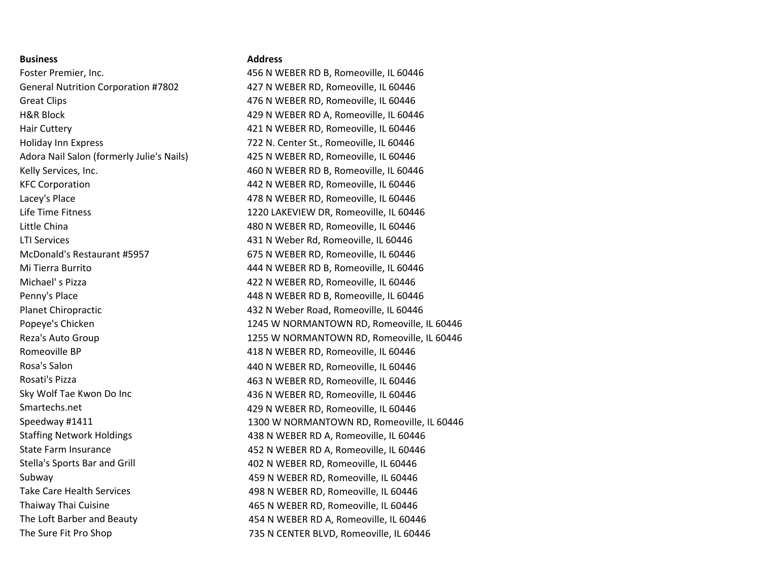## **Business**

Foster Premier, Inc. General Nutrition Corporation #7802 Great Clips H&R Block Hair Cuttery Holiday Inn Express Adora Nail Salon (formerly Julie's Nails) Kelly Services, Inc. KFC Corporation Lacey's Place Life Time Fitness Little China LTI Services McDonald's Restaurant #5957 Mi Tierra Burrito Michael' s Pizza Penny's Place Planet Chiropractic Popeye's Chicken Reza's Auto Group Romeoville BP Rosa's Salon Rosati's Pizza Sky Wolf Tae Kwon Do Inc Smartechs.net Speedway #1411 Staffing Network Holdings State Farm Insurance Stella's Sports Bar and Grill Subway Take Care Health Services Thaiway Thai Cuisine The Loft Barber and Beauty

## **Address**

456 N WEBER RD B, Romeoville, IL 60446 427 N WEBER RD, Romeoville, IL 60446 476 N WEBER RD, Romeoville, IL 60446 429 N WEBER RD A, Romeoville, IL 60446 421 N WEBER RD, Romeoville, IL 60446 722 N. Center St., Romeoville, IL 60446 425 N WEBER RD, Romeoville, IL 60446 460 N WEBER RD B, Romeoville, IL 60446 442 N WEBER RD, Romeoville, IL 60446 478 N WEBER RD, Romeoville, IL 60446 1220 LAKEVIEW DR, Romeoville, IL 60446 480 N WEBER RD, Romeoville, IL 60446 431 N Weber Rd, Romeoville, IL 60446 675 N WEBER RD, Romeoville, IL 60446 444 N WEBER RD B, Romeoville, IL 60446 422 N WEBER RD, Romeoville, IL 60446 448 N WEBER RD B, Romeoville, IL 60446 432 N Weber Road, Romeoville, IL 60446 1245 W NORMANTOWN RD, Romeoville, IL 60446 1255 W NORMANTOWN RD, Romeoville, IL 60446 418 N WEBER RD, Romeoville, IL 60446 440 N WEBER RD, Romeoville, IL 60446 463 N WEBER RD, Romeoville, IL 60446 436 N WEBER RD, Romeoville, IL 60446 429 N WEBER RD, Romeoville, IL 60446 1300 W NORMANTOWN RD, Romeoville, IL 60446 438 N WEBER RD A, Romeoville, IL 60446 452 N WEBER RD A, Romeoville, IL 60446 402 N WEBER RD, Romeoville, IL 60446 459 N WEBER RD, Romeoville, IL 60446 498 N WEBER RD, Romeoville, IL 60446 465 N WEBER RD, Romeoville, IL 60446 454 N WEBER RD A, Romeoville, IL 60446 The Sure Fit Pro Shop 735 N CENTER BLVD, Romeoville, IL 60446